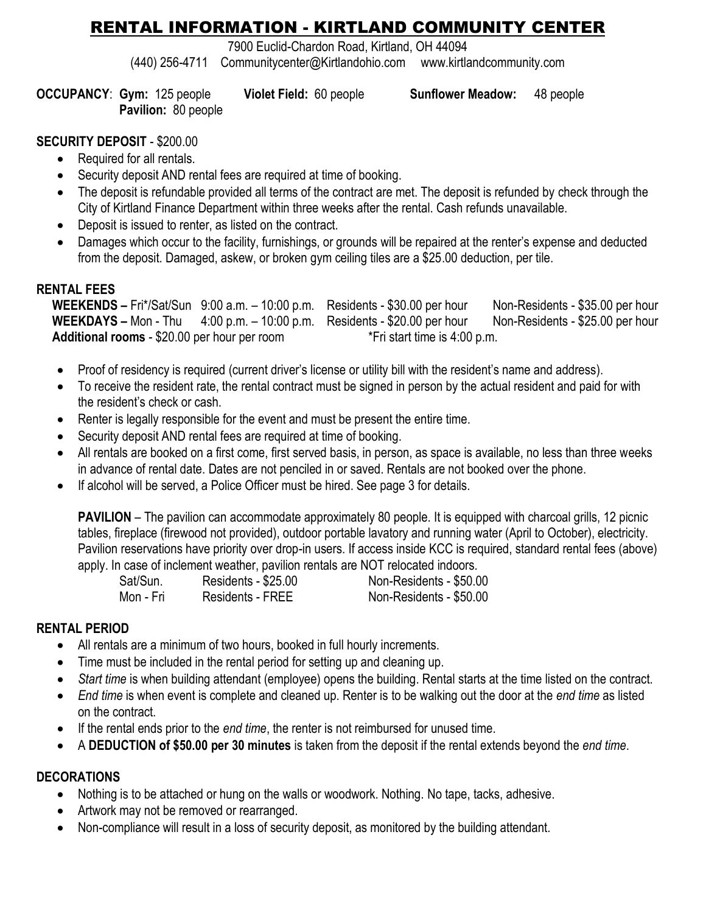# RENTAL INFORMATION - KIRTLAND COMMUNITY CENTER

7900 Euclid-Chardon Road, Kirtland, OH 44094

(440) 256-4711 Communitycenter@Kirtlandohio.com www.kirtlandcommunity.com

**OCCUPANCY**: **Gym:** 125 people **Violet Field:** 60 people **Sunflower Meadow:** 48 people **Pavilion:** 80 people

#### **SECURITY DEPOSIT** - \$200.00

- Required for all rentals.
- Security deposit AND rental fees are required at time of booking.
- The deposit is refundable provided all terms of the contract are met. The deposit is refunded by check through the City of Kirtland Finance Department within three weeks after the rental. Cash refunds unavailable.
- Deposit is issued to renter, as listed on the contract.
- Damages which occur to the facility, furnishings, or grounds will be repaired at the renter's expense and deducted from the deposit. Damaged, askew, or broken gym ceiling tiles are a \$25.00 deduction, per tile.

#### **RENTAL FEES**

 **WEEKENDS –** Fri\*/Sat/Sun 9:00 a.m. – 10:00 p.m. Residents - \$30.00 per hour Non-Residents - \$35.00 per hour  **WEEKDAYS –** Mon - Thu 4:00 p.m. – 10:00 p.m. Residents - \$20.00 per hour Non-Residents - \$25.00 per hour **Additional rooms** - \$20.00 per hour per room \*Fri start time is 4:00 p.m.

- Proof of residency is required (current driver's license or utility bill with the resident's name and address).
- To receive the resident rate, the rental contract must be signed in person by the actual resident and paid for with the resident's check or cash.
- Renter is legally responsible for the event and must be present the entire time.
- Security deposit AND rental fees are required at time of booking.
- All rentals are booked on a first come, first served basis, in person, as space is available, no less than three weeks in advance of rental date. Dates are not penciled in or saved. Rentals are not booked over the phone.
- If alcohol will be served, a Police Officer must be hired. See page 3 for details.

**PAVILION** – The pavilion can accommodate approximately 80 people. It is equipped with charcoal grills, 12 picnic tables, fireplace (firewood not provided), outdoor portable lavatory and running water (April to October), electricity. Pavilion reservations have priority over drop-in users. If access inside KCC is required, standard rental fees (above) apply. In case of inclement weather, pavilion rentals are NOT relocated indoors.

| Sat/Sun.  | Residents - \$25.00     | Non-Residents - \$50.00 |
|-----------|-------------------------|-------------------------|
| Mon - Fri | <b>Residents - FREE</b> | Non-Residents - \$50.00 |

## **RENTAL PERIOD**

- All rentals are a minimum of two hours, booked in full hourly increments.
- Time must be included in the rental period for setting up and cleaning up.
- *Start time* is when building attendant (employee) opens the building. Rental starts at the time listed on the contract.
- *End time* is when event is complete and cleaned up. Renter is to be walking out the door at the *end time* as listed on the contract.
- If the rental ends prior to the *end time*, the renter is not reimbursed for unused time.
- A **DEDUCTION of \$50.00 per 30 minutes** is taken from the deposit if the rental extends beyond the *end time*.

## **DECORATIONS**

- Nothing is to be attached or hung on the walls or woodwork. Nothing. No tape, tacks, adhesive.
- Artwork may not be removed or rearranged.
- Non-compliance will result in a loss of security deposit, as monitored by the building attendant.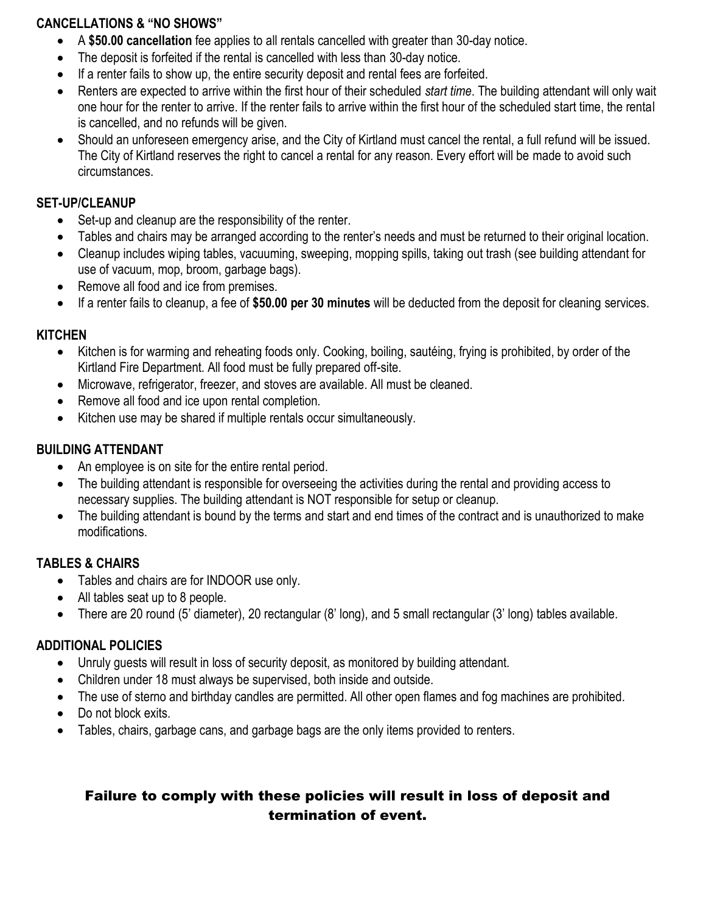## **CANCELLATIONS & "NO SHOWS"**

- A **\$50.00 cancellation** fee applies to all rentals cancelled with greater than 30-day notice.
- The deposit is forfeited if the rental is cancelled with less than 30-day notice.
- If a renter fails to show up, the entire security deposit and rental fees are forfeited.
- Renters are expected to arrive within the first hour of their scheduled *start time*. The building attendant will only wait one hour for the renter to arrive. If the renter fails to arrive within the first hour of the scheduled start time, the rental is cancelled, and no refunds will be given.
- Should an unforeseen emergency arise, and the City of Kirtland must cancel the rental, a full refund will be issued. The City of Kirtland reserves the right to cancel a rental for any reason. Every effort will be made to avoid such circumstances.

#### **SET-UP/CLEANUP**

- Set-up and cleanup are the responsibility of the renter.
- Tables and chairs may be arranged according to the renter's needs and must be returned to their original location.
- Cleanup includes wiping tables, vacuuming, sweeping, mopping spills, taking out trash (see building attendant for use of vacuum, mop, broom, garbage bags).
- Remove all food and ice from premises.
- If a renter fails to cleanup, a fee of **\$50.00 per 30 minutes** will be deducted from the deposit for cleaning services.

## **KITCHEN**

- Kitchen is for warming and reheating foods only. Cooking, boiling, sautéing, frying is prohibited, by order of the Kirtland Fire Department. All food must be fully prepared off-site.
- Microwave, refrigerator, freezer, and stoves are available. All must be cleaned.
- Remove all food and ice upon rental completion.
- Kitchen use may be shared if multiple rentals occur simultaneously.

## **BUILDING ATTENDANT**

- An employee is on site for the entire rental period.
- The building attendant is responsible for overseeing the activities during the rental and providing access to necessary supplies. The building attendant is NOT responsible for setup or cleanup.
- The building attendant is bound by the terms and start and end times of the contract and is unauthorized to make modifications.

## **TABLES & CHAIRS**

- Tables and chairs are for INDOOR use only.
- All tables seat up to 8 people.
- There are 20 round (5' diameter), 20 rectangular (8' long), and 5 small rectangular (3' long) tables available.

## **ADDITIONAL POLICIES**

- Unruly guests will result in loss of security deposit, as monitored by building attendant.
- Children under 18 must always be supervised, both inside and outside.
- The use of sterno and birthday candles are permitted. All other open flames and fog machines are prohibited.
- Do not block exits.
- Tables, chairs, garbage cans, and garbage bags are the only items provided to renters.

## Failure to comply with these policies will result in loss of deposit and termination of event.